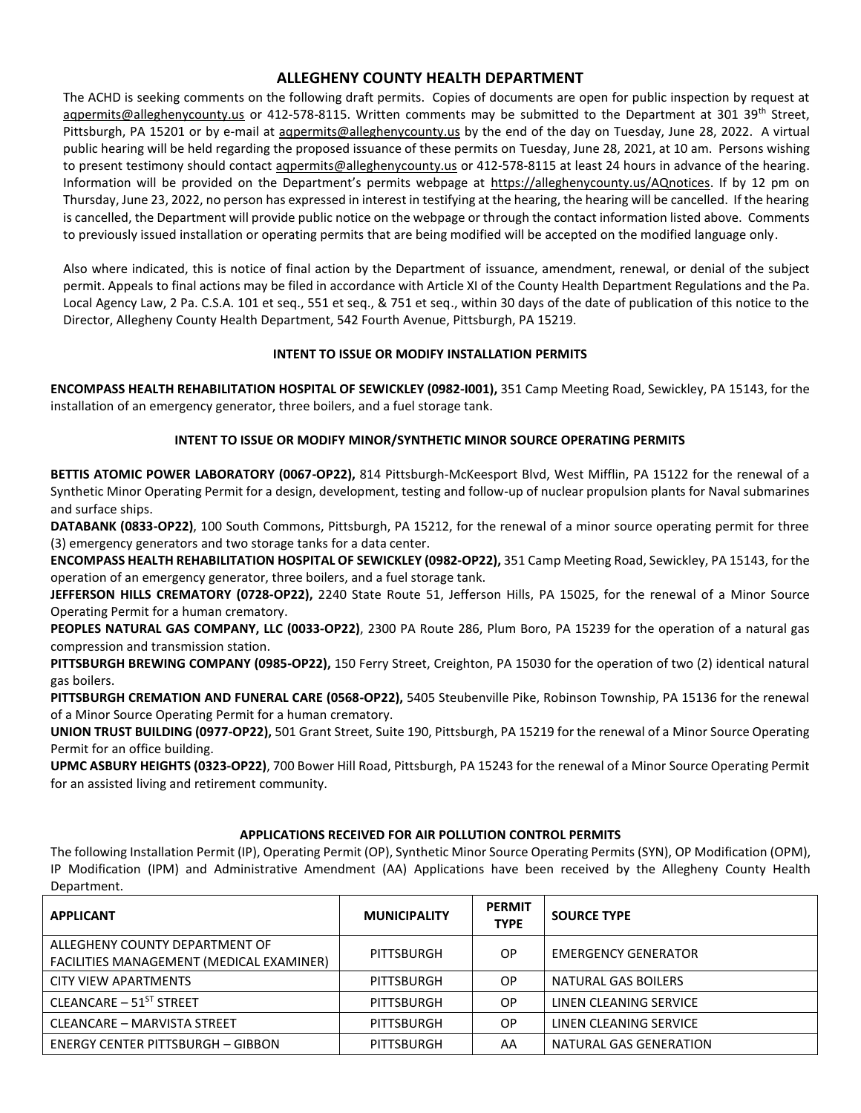# **ALLEGHENY COUNTY HEALTH DEPARTMENT**

The ACHD is seeking comments on the following draft permits. Copies of documents are open for public inspection by request at agpermits@alleghenycounty.us or 412-578-8115. Written comments may be submitted to the Department at 301 39<sup>th</sup> Street, Pittsburgh, PA 15201 or by e-mail at agpermits@alleghenycounty.us by the end of the day on Tuesday, June 28, 2022. A virtual public hearing will be held regarding the proposed issuance of these permits on Tuesday, June 28, 2021, at 10 am. Persons wishing to present testimony should contact aqpermits@alleghenycounty.us or 412-578-8115 at least 24 hours in advance of the hearing. Information will be provided on the Department's permits webpage at https://alleghenycounty.us/AQnotices. If by 12 pm on Thursday, June 23, 2022, no person has expressed in interest in testifying at the hearing, the hearing will be cancelled. If the hearing is cancelled, the Department will provide public notice on the webpage or through the contact information listed above. Comments to previously issued installation or operating permits that are being modified will be accepted on the modified language only.

Also where indicated, this is notice of final action by the Department of issuance, amendment, renewal, or denial of the subject permit. Appeals to final actions may be filed in accordance with Article XI of the County Health Department Regulations and the Pa. Local Agency Law, 2 Pa. C.S.A. 101 et seq., 551 et seq., & 751 et seq., within 30 days of the date of publication of this notice to the Director, Allegheny County Health Department, 542 Fourth Avenue, Pittsburgh, PA 15219.

## **INTENT TO ISSUE OR MODIFY INSTALLATION PERMITS**

**ENCOMPASS HEALTH REHABILITATION HOSPITAL OF SEWICKLEY (0982-I001),** 351 Camp Meeting Road, Sewickley, PA 15143, for the installation of an emergency generator, three boilers, and a fuel storage tank.

## **INTENT TO ISSUE OR MODIFY MINOR/SYNTHETIC MINOR SOURCE OPERATING PERMITS**

**BETTIS ATOMIC POWER LABORATORY (0067-OP22),** 814 Pittsburgh-McKeesport Blvd, West Mifflin, PA 15122 for the renewal of a Synthetic Minor Operating Permit for a design, development, testing and follow-up of nuclear propulsion plants for Naval submarines and surface ships.

**DATABANK (0833-OP22)**, 100 South Commons, Pittsburgh, PA 15212, for the renewal of a minor source operating permit for three (3) emergency generators and two storage tanks for a data center.

**ENCOMPASS HEALTH REHABILITATION HOSPITAL OF SEWICKLEY (0982-OP22),** 351 Camp Meeting Road, Sewickley, PA 15143, for the operation of an emergency generator, three boilers, and a fuel storage tank.

**JEFFERSON HILLS CREMATORY (0728-OP22),** 2240 State Route 51, Jefferson Hills, PA 15025, for the renewal of a Minor Source Operating Permit for a human crematory.

**PEOPLES NATURAL GAS COMPANY, LLC (0033-OP22)**, 2300 PA Route 286, Plum Boro, PA 15239 for the operation of a natural gas compression and transmission station.

**PITTSBURGH BREWING COMPANY (0985-OP22),** 150 Ferry Street, Creighton, PA 15030 for the operation of two (2) identical natural gas boilers.

**PITTSBURGH CREMATION AND FUNERAL CARE (0568-OP22),** 5405 Steubenville Pike, Robinson Township, PA 15136 for the renewal of a Minor Source Operating Permit for a human crematory.

**UNION TRUST BUILDING (0977-OP22),** 501 Grant Street, Suite 190, Pittsburgh, PA 15219 for the renewal of a Minor Source Operating Permit for an office building.

**UPMC ASBURY HEIGHTS (0323-OP22)**, 700 Bower Hill Road, Pittsburgh, PA 15243 for the renewal of a Minor Source Operating Permit for an assisted living and retirement community.

## **APPLICATIONS RECEIVED FOR AIR POLLUTION CONTROL PERMITS**

The following Installation Permit (IP), Operating Permit (OP), Synthetic Minor Source Operating Permits (SYN), OP Modification (OPM), IP Modification (IPM) and Administrative Amendment (AA) Applications have been received by the Allegheny County Health Department.

| <b>APPLICANT</b>                                                           | <b>MUNICIPALITY</b> | <b>PERMIT</b><br><b>TYPE</b> | <b>SOURCE TYPE</b>         |
|----------------------------------------------------------------------------|---------------------|------------------------------|----------------------------|
| ALLEGHENY COUNTY DEPARTMENT OF<br>FACILITIES MANAGEMENT (MEDICAL EXAMINER) | PITTSBURGH          | 0P                           | <b>EMERGENCY GENERATOR</b> |
| <b>CITY VIEW APARTMENTS</b>                                                | PITTSBURGH          | <b>OP</b>                    | NATURAL GAS BOILERS        |
| CLEANCARE - 51 <sup>ST</sup> STREET                                        | PITTSBURGH          | <b>OP</b>                    | LINEN CLEANING SERVICE     |
| CLEANCARE - MARVISTA STREET                                                | PITTSBURGH          | <b>OP</b>                    | LINEN CLEANING SERVICE     |
| ENERGY CENTER PITTSBURGH – GIBBON                                          | PITTSBURGH          | AA                           | NATURAL GAS GENERATION     |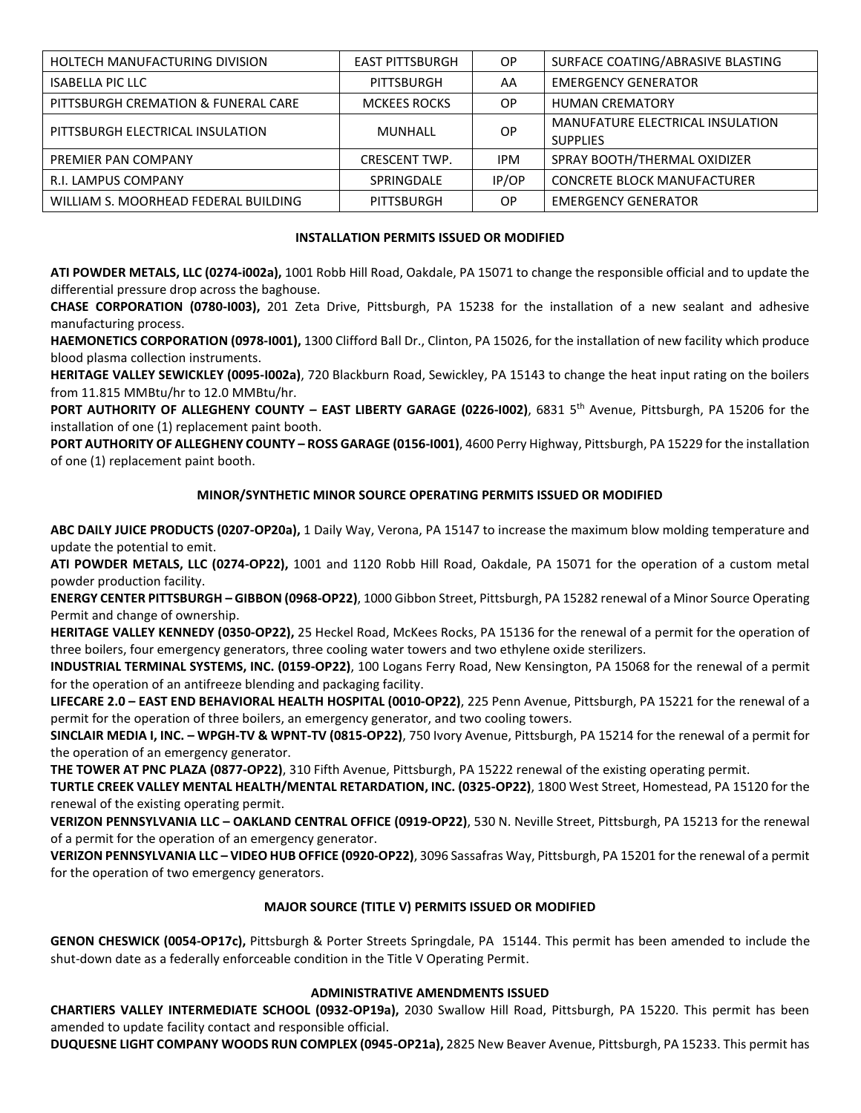| HOLTECH MANUFACTURING DIVISION       | <b>EAST PITTSBURGH</b> | OP.        | SURFACE COATING/ABRASIVE BLASTING  |
|--------------------------------------|------------------------|------------|------------------------------------|
| <b>ISABELLA PIC LLC</b>              | PITTSBURGH             | AA         | <b>EMERGENCY GENERATOR</b>         |
| PITTSBURGH CREMATION & FUNERAL CARE  | <b>MCKEES ROCKS</b>    | OP.        | <b>HUMAN CREMATORY</b>             |
| PITTSBURGH ELECTRICAL INSULATION     | MUNHALL                | <b>OP</b>  | MANUFATURE ELECTRICAL INSULATION   |
|                                      |                        |            | <b>SUPPLIES</b>                    |
| PREMIER PAN COMPANY                  | <b>CRESCENT TWP.</b>   | <b>IPM</b> | SPRAY BOOTH/THERMAL OXIDIZER       |
| R.I. LAMPUS COMPANY                  | SPRINGDALE             | IP/OP      | <b>CONCRETE BLOCK MANUFACTURER</b> |
| WILLIAM S. MOORHEAD FEDERAL BUILDING | <b>PITTSBURGH</b>      | <b>OP</b>  | <b>EMERGENCY GENERATOR</b>         |

#### **INSTALLATION PERMITS ISSUED OR MODIFIED**

**ATI POWDER METALS, LLC (0274-i002a),** 1001 Robb Hill Road, Oakdale, PA 15071 to change the responsible official and to update the differential pressure drop across the baghouse.

**CHASE CORPORATION (0780-I003),** 201 Zeta Drive, Pittsburgh, PA 15238 for the installation of a new sealant and adhesive manufacturing process.

**HAEMONETICS CORPORATION (0978-I001),** 1300 Clifford Ball Dr., Clinton, PA 15026, for the installation of new facility which produce blood plasma collection instruments.

**HERITAGE VALLEY SEWICKLEY (0095-I002a)**, 720 Blackburn Road, Sewickley, PA 15143 to change the heat input rating on the boilers from 11.815 MMBtu/hr to 12.0 MMBtu/hr.

**PORT AUTHORITY OF ALLEGHENY COUNTY – EAST LIBERTY GARAGE (0226-I002)**, 6831 5th Avenue, Pittsburgh, PA 15206 for the installation of one (1) replacement paint booth.

**PORT AUTHORITY OF ALLEGHENY COUNTY – ROSS GARAGE (0156-I001)**, 4600 Perry Highway, Pittsburgh, PA 15229 for the installation of one (1) replacement paint booth.

### **MINOR/SYNTHETIC MINOR SOURCE OPERATING PERMITS ISSUED OR MODIFIED**

**ABC DAILY JUICE PRODUCTS (0207-OP20a),** 1 Daily Way, Verona, PA 15147 to increase the maximum blow molding temperature and update the potential to emit.

**ATI POWDER METALS, LLC (0274-OP22),** 1001 and 1120 Robb Hill Road, Oakdale, PA 15071 for the operation of a custom metal powder production facility.

**ENERGY CENTER PITTSBURGH – GIBBON (0968-OP22)**, 1000 Gibbon Street, Pittsburgh, PA 15282 renewal of a Minor Source Operating Permit and change of ownership.

**HERITAGE VALLEY KENNEDY (0350-OP22),** 25 Heckel Road, McKees Rocks, PA 15136 for the renewal of a permit for the operation of three boilers, four emergency generators, three cooling water towers and two ethylene oxide sterilizers.

**INDUSTRIAL TERMINAL SYSTEMS, INC. (0159-OP22)**, 100 Logans Ferry Road, New Kensington, PA 15068 for the renewal of a permit for the operation of an antifreeze blending and packaging facility.

**LIFECARE 2.0 – EAST END BEHAVIORAL HEALTH HOSPITAL (0010-OP22)**, 225 Penn Avenue, Pittsburgh, PA 15221 for the renewal of a permit for the operation of three boilers, an emergency generator, and two cooling towers.

**SINCLAIR MEDIA I, INC. – WPGH-TV & WPNT-TV (0815-OP22)**, 750 Ivory Avenue, Pittsburgh, PA 15214 for the renewal of a permit for the operation of an emergency generator.

**THE TOWER AT PNC PLAZA (0877-OP22)**, 310 Fifth Avenue, Pittsburgh, PA 15222 renewal of the existing operating permit.

**TURTLE CREEK VALLEY MENTAL HEALTH/MENTAL RETARDATION, INC. (0325-OP22)**, 1800 West Street, Homestead, PA 15120 for the renewal of the existing operating permit.

**VERIZON PENNSYLVANIA LLC – OAKLAND CENTRAL OFFICE (0919-OP22)**, 530 N. Neville Street, Pittsburgh, PA 15213 for the renewal of a permit for the operation of an emergency generator.

**VERIZON PENNSYLVANIA LLC – VIDEO HUB OFFICE (0920-OP22)**, 3096 Sassafras Way, Pittsburgh, PA 15201 for the renewal of a permit for the operation of two emergency generators.

### **MAJOR SOURCE (TITLE V) PERMITS ISSUED OR MODIFIED**

**GENON CHESWICK (0054-OP17c),** Pittsburgh & Porter Streets Springdale, PA 15144. This permit has been amended to include the shut-down date as a federally enforceable condition in the Title V Operating Permit.

### **ADMINISTRATIVE AMENDMENTS ISSUED**

**CHARTIERS VALLEY INTERMEDIATE SCHOOL (0932-OP19a),** 2030 Swallow Hill Road, Pittsburgh, PA 15220. This permit has been amended to update facility contact and responsible official.

**DUQUESNE LIGHT COMPANY WOODS RUN COMPLEX (0945-OP21a),** 2825 New Beaver Avenue, Pittsburgh, PA 15233. This permit has